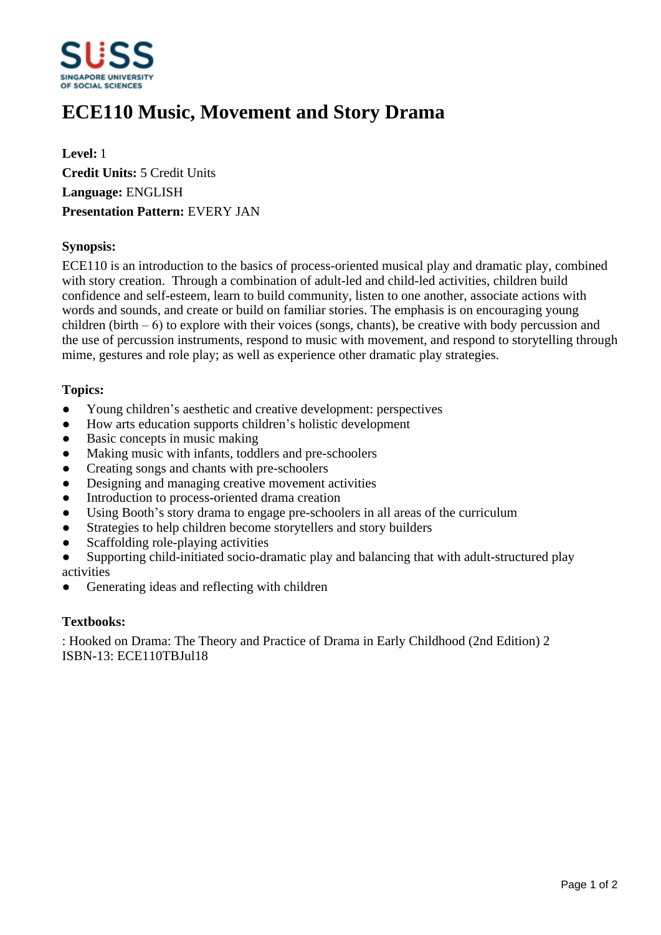

# **ECE110 Music, Movement and Story Drama**

**Level:** 1 **Credit Units:** 5 Credit Units **Language:** ENGLISH **Presentation Pattern:** EVERY JAN

### **Synopsis:**

ECE110 is an introduction to the basics of process-oriented musical play and dramatic play, combined with story creation. Through a combination of adult-led and child-led activities, children build confidence and self-esteem, learn to build community, listen to one another, associate actions with words and sounds, and create or build on familiar stories. The emphasis is on encouraging young children (birth  $-6$ ) to explore with their voices (songs, chants), be creative with body percussion and the use of percussion instruments, respond to music with movement, and respond to storytelling through mime, gestures and role play; as well as experience other dramatic play strategies.

#### **Topics:**

- Young children's aesthetic and creative development: perspectives
- How arts education supports children's holistic development
- Basic concepts in music making
- Making music with infants, toddlers and pre-schoolers
- Creating songs and chants with pre-schoolers
- Designing and managing creative movement activities
- Introduction to process-oriented drama creation
- Using Booth's story drama to engage pre-schoolers in all areas of the curriculum
- Strategies to help children become storytellers and story builders
- Scaffolding role-playing activities
- Supporting child-initiated socio-dramatic play and balancing that with adult-structured play activities
- Generating ideas and reflecting with children

#### **Textbooks:**

: Hooked on Drama: The Theory and Practice of Drama in Early Childhood (2nd Edition) 2 ISBN-13: ECE110TBJul18